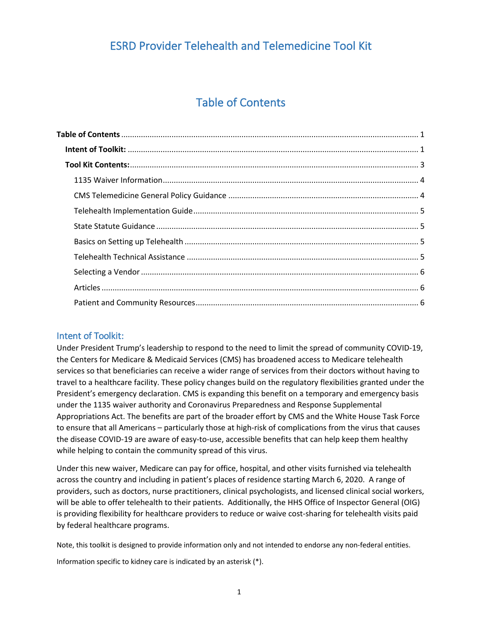### Table of Contents

#### Intent of Toolkit:

 Under President Trump's leadership to respond to the need to limit the spread of community COVID-19, the Centers for Medicare & Medicaid Services (CMS) has broadened access to Medicare telehealth travel to a healthcare facility. These policy changes build on the regulatory flexibilities granted under the President's emergency declaration. CMS is expanding this benefit on a temporary and emergency basis under the 1135 waiver authority and Coronavirus Preparedness and Response Supplemental Appropriations Act. The benefits are part of the broader effort by CMS and the White House Task Force to ensure that all Americans – particularly those at high-risk of complications from the virus that causes the disease COVID-19 are aware of easy-to-use, accessible benefits that can help keep them healthy while helping to contain the community spread of this virus. services so that beneficiaries can receive a wider range of services from their doctors without having to

 Under this new waiver, Medicare can pay for office, hospital, and other visits furnished via telehealth across the country and including in patient's places of residence starting March 6, 2020. A range of providers, such as doctors, nurse practitioners, clinical psychologists, and licensed clinical social workers, will be able to offer telehealth to their patients. Additionally, the HHS Office of Inspector General (OIG) by federal healthcare programs. is providing flexibility for healthcare providers to reduce or waive cost-sharing for telehealth visits paid

Note, this toolkit is designed to provide information only and not intended to endorse any non-federal entities.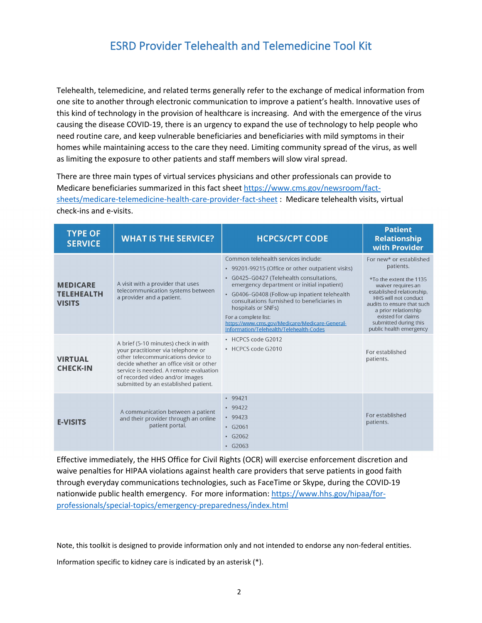<span id="page-1-0"></span> one site to another through electronic communication to improve a patient's health. Innovative uses of this kind of technology in the provision of healthcare is increasing. And with the emergence of the virus causing the disease COVID-19, there is an urgency to expand the use of technology to help people who homes while maintaining access to the care they need. Limiting community spread of the virus, as well as limiting the exposure to other patients and staff members will slow viral spread. Telehealth, telemedicine, and related terms generally refer to the exchange of medical information from need routine care, and keep vulnerable beneficiaries and beneficiaries with mild symptoms in their

 There are three main types of virtual services physicians and other professionals can provide to Medicare beneficiaries summarized in this fact sheet https://www.cms.gov/newsroom/fact- sheets/medicare-telemedicine-health-care-provider-fact-sheet : Medicare telehealth visits, virtual check-ins and e-visits.

| <b>TYPE OF</b><br><b>SERVICE</b>                      | <b>WHAT IS THE SERVICE?</b>                                                                                                                                                                                                              | <b>HCPCS/CPT CODE</b>                                                                                                                                                                                                                                                                                                                                                                                                                               | <b>Patient</b><br><b>Relationship</b><br>with Provider                                                                                                                                                                                                                     |
|-------------------------------------------------------|------------------------------------------------------------------------------------------------------------------------------------------------------------------------------------------------------------------------------------------|-----------------------------------------------------------------------------------------------------------------------------------------------------------------------------------------------------------------------------------------------------------------------------------------------------------------------------------------------------------------------------------------------------------------------------------------------------|----------------------------------------------------------------------------------------------------------------------------------------------------------------------------------------------------------------------------------------------------------------------------|
| <b>MEDICARE</b><br><b>TELEHEALTH</b><br><b>VISITS</b> | A visit with a provider that uses<br>telecommunication systems between<br>a provider and a patient.<br>A brief (5-10 minutes) check in with                                                                                              | Common telebealth services include:<br>• 99201-99215 (Office or other outpatient visits)<br>· G0425-G0427 (Telehealth consultations,<br>emergency department or initial inpatient)<br>• G0406-G0408 (Follow-up inpatient telehealth<br>consultations furnished to beneficiaries in<br>hospitals or SNFs)<br>For a complete list:<br>https://www.cms.gov/Medicare/Medicare-General-<br>Information/Telehealth/Telehealth-Codes<br>• HCPCS code G2012 | For new* or established<br>patients.<br>*To the extent the 1135<br>waiver requires an<br>established relationship,<br>HHS will not conduct<br>audits to ensure that such<br>a prior relationship<br>existed for claims<br>submitted during this<br>public health emergency |
| <b>VIRTUAL</b><br><b>CHECK-IN</b>                     | your practitioner via telephone or<br>other telecommunications device to<br>decide whether an office visit or other<br>service is needed. A remote evaluation<br>of recorded video and/or images<br>submitted by an established patient. | • HCPCS code G2010                                                                                                                                                                                                                                                                                                                                                                                                                                  | For established<br>patients.                                                                                                                                                                                                                                               |
| <b>E-VISITS</b>                                       | A communication between a patient<br>and their provider through an online<br>patient portal.                                                                                                                                             | $-99421$<br>$-99422$<br>.99423<br>$\cdot$ G2061<br>$\cdot$ G <sub>2062</sub><br>$\cdot$ G <sub>2063</sub>                                                                                                                                                                                                                                                                                                                                           | For established<br>patients.                                                                                                                                                                                                                                               |

professionals/special-topics/emergency-preparedness/index.html<br>Note, this toolkit is designed to provide information only and not intended to endorse any non-federal entities. Effective immediately, the HHS Office for Civil Rights (OCR) will exercise enforcement discretion and waive penalties for HIPAA violations against health care providers that serve patients in good faith through everyday communications technologies, such as FaceTime or Skype, during the COVID-19 nationwide public health emergency. For more information: https://www.hhs.gov/hipaa/forprofessionals/special-topics/emergency-preparedness/index.html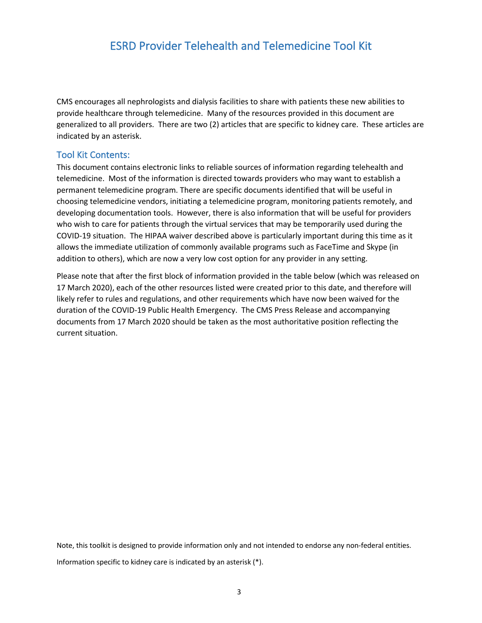<span id="page-2-0"></span> CMS encourages all nephrologists and dialysis facilities to share with patients these new abilities to provide healthcare through telemedicine. Many of the resources provided in this document are generalized to all providers. There are two (2) articles that are specific to kidney care. These articles are indicated by an asterisk.

#### Tool Kit Contents:

 This document contains electronic links to reliable sources of information regarding telehealth and telemedicine. Most of the information is directed towards providers who may want to establish a permanent telemedicine program. There are specific documents identified that will be useful in developing documentation tools. However, there is also information that will be useful for providers who wish to care for patients through the virtual services that may be temporarily used during the COVID-19 situation. The HIPAA waiver described above is particularly important during this time as it allows the immediate utilization of commonly available programs such as FaceTime and Skype (in choosing telemedicine vendors, initiating a telemedicine program, monitoring patients remotely, and addition to others), which are now a very low cost option for any provider in any setting.

 Please note that after the first block of information provided in the table below (which was released on 17 March 2020), each of the other resources listed were created prior to this date, and therefore will duration of the COVID-19 Public Health Emergency. The CMS Press Release and accompanying documents from 17 March 2020 should be taken as the most authoritative position reflecting the likely refer to rules and regulations, and other requirements which have now been waived for the current situation.

Note, this toolkit is designed to provide information only and not intended to endorse any non-federal entities. Information specific to kidney care is indicated by an asterisk (\*).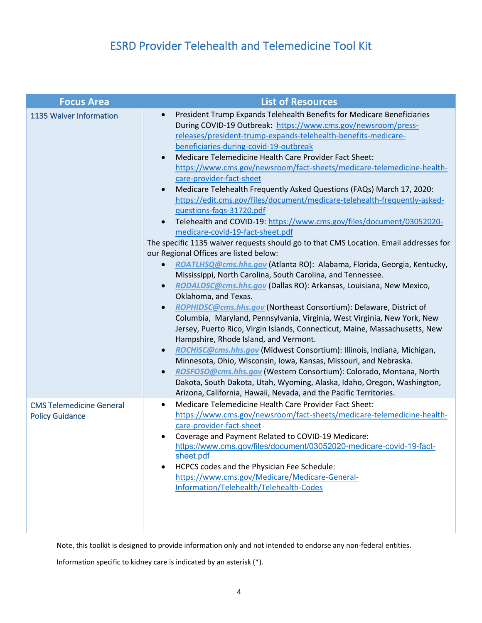<span id="page-3-0"></span>

| <b>Focus Area</b>                                         | <b>List of Resources</b>                                                                                                                                                                                                                                                                                                                                                                                                                                                                                                                                                                                                                                                                                                                                                                                                                                                                                                                                                                                                                                                                                                                                                                                                                                                                                                                                                                                                                                                                                                                                                                                                                                                                                                                                                                                                                                          |
|-----------------------------------------------------------|-------------------------------------------------------------------------------------------------------------------------------------------------------------------------------------------------------------------------------------------------------------------------------------------------------------------------------------------------------------------------------------------------------------------------------------------------------------------------------------------------------------------------------------------------------------------------------------------------------------------------------------------------------------------------------------------------------------------------------------------------------------------------------------------------------------------------------------------------------------------------------------------------------------------------------------------------------------------------------------------------------------------------------------------------------------------------------------------------------------------------------------------------------------------------------------------------------------------------------------------------------------------------------------------------------------------------------------------------------------------------------------------------------------------------------------------------------------------------------------------------------------------------------------------------------------------------------------------------------------------------------------------------------------------------------------------------------------------------------------------------------------------------------------------------------------------------------------------------------------------|
| 1135 Waiver Information                                   | President Trump Expands Telehealth Benefits for Medicare Beneficiaries<br>$\bullet$<br>During COVID-19 Outbreak: https://www.cms.gov/newsroom/press-<br>releases/president-trump-expands-telehealth-benefits-medicare-<br>beneficiaries-during-covid-19-outbreak<br>Medicare Telemedicine Health Care Provider Fact Sheet:<br>$\bullet$<br>https://www.cms.gov/newsroom/fact-sheets/medicare-telemedicine-health-<br>care-provider-fact-sheet<br>Medicare Telehealth Frequently Asked Questions (FAQs) March 17, 2020:<br>$\bullet$<br>https://edit.cms.gov/files/document/medicare-telehealth-frequently-asked-<br>questions-faqs-31720.pdf<br>Telehealth and COVID-19: https://www.cms.gov/files/document/03052020-<br>$\bullet$<br>medicare-covid-19-fact-sheet.pdf<br>The specific 1135 waiver requests should go to that CMS Location. Email addresses for<br>our Regional Offices are listed below:<br>ROATLHSQ@cms.hhs.gov (Atlanta RO): Alabama, Florida, Georgia, Kentucky,<br>$\bullet$<br>Mississippi, North Carolina, South Carolina, and Tennessee.<br>RODALDSC@cms.hhs.gov (Dallas RO): Arkansas, Louisiana, New Mexico,<br>$\bullet$<br>Oklahoma, and Texas.<br>ROPHIDSC@cms.hhs.gov (Northeast Consortium): Delaware, District of<br>$\bullet$<br>Columbia, Maryland, Pennsylvania, Virginia, West Virginia, New York, New<br>Jersey, Puerto Rico, Virgin Islands, Connecticut, Maine, Massachusetts, New<br>Hampshire, Rhode Island, and Vermont.<br>ROCHISC@cms.hhs.gov (Midwest Consortium): Illinois, Indiana, Michigan,<br>$\bullet$<br>Minnesota, Ohio, Wisconsin, Iowa, Kansas, Missouri, and Nebraska.<br>ROSFOSO@cms.hhs.gov (Western Consortium): Colorado, Montana, North<br>$\bullet$<br>Dakota, South Dakota, Utah, Wyoming, Alaska, Idaho, Oregon, Washington,<br>Arizona, California, Hawaii, Nevada, and the Pacific Territories. |
| <b>CMS Telemedicine General</b><br><b>Policy Guidance</b> | Medicare Telemedicine Health Care Provider Fact Sheet:<br>٠<br>https://www.cms.gov/newsroom/fact-sheets/medicare-telemedicine-health-<br>care-provider-fact-sheet<br>Coverage and Payment Related to COVID-19 Medicare:<br>https://www.cms.gov/files/document/03052020-medicare-covid-19-fact-<br>sheet.pdf<br>HCPCS codes and the Physician Fee Schedule:<br>https://www.cms.gov/Medicare/Medicare-General-<br>Information/Telehealth/Telehealth-Codes                                                                                                                                                                                                                                                                                                                                                                                                                                                                                                                                                                                                                                                                                                                                                                                                                                                                                                                                                                                                                                                                                                                                                                                                                                                                                                                                                                                                           |

Note, this toolkit is designed to provide information only and not intended to endorse any non-federal entities.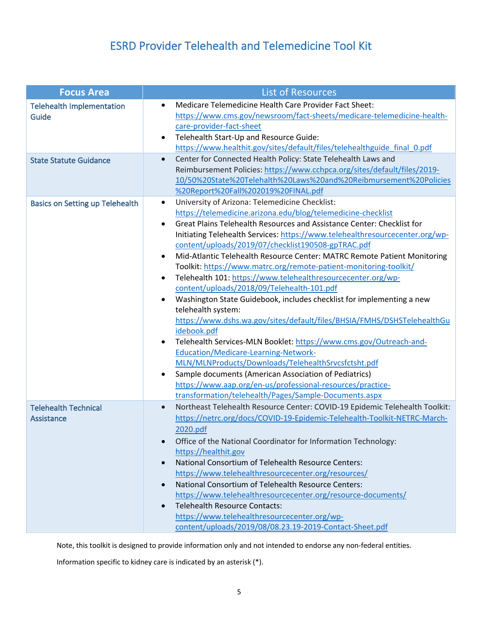<span id="page-4-0"></span>

| <b>Focus Area</b>                         | <b>List of Resources</b>                                                                                                                                                                                                                                                                                                                                                                                                                                                                                                                                                                                                                                                                                                                                                                                                                                                                                                                                                                                                                                                                                                                                                                               |
|-------------------------------------------|--------------------------------------------------------------------------------------------------------------------------------------------------------------------------------------------------------------------------------------------------------------------------------------------------------------------------------------------------------------------------------------------------------------------------------------------------------------------------------------------------------------------------------------------------------------------------------------------------------------------------------------------------------------------------------------------------------------------------------------------------------------------------------------------------------------------------------------------------------------------------------------------------------------------------------------------------------------------------------------------------------------------------------------------------------------------------------------------------------------------------------------------------------------------------------------------------------|
| <b>Telehealth Implementation</b><br>Guide | Medicare Telemedicine Health Care Provider Fact Sheet:<br>https://www.cms.gov/newsroom/fact-sheets/medicare-telemedicine-health-<br>care-provider-fact-sheet<br>Telehealth Start-Up and Resource Guide:<br>$\bullet$<br>https://www.healthit.gov/sites/default/files/telehealthguide final 0.pdf                                                                                                                                                                                                                                                                                                                                                                                                                                                                                                                                                                                                                                                                                                                                                                                                                                                                                                       |
| <b>State Statute Guidance</b>             | Center for Connected Health Policy: State Telehealth Laws and<br>$\bullet$<br>Reimbursement Policies: https://www.cchpca.org/sites/default/files/2019-<br>10/50%20State%20Telehalth%20Laws%20and%20Reibmursement%20Policies<br>%20Report%20Fall%202019%20FINAL.pdf                                                                                                                                                                                                                                                                                                                                                                                                                                                                                                                                                                                                                                                                                                                                                                                                                                                                                                                                     |
| <b>Basics on Setting up Telehealth</b>    | University of Arizona: Telemedicine Checklist:<br>$\bullet$<br>https://telemedicine.arizona.edu/blog/telemedicine-checklist<br>Great Plains Telehealth Resources and Assistance Center: Checklist for<br>$\bullet$<br>Initiating Telehealth Services: https://www.telehealthresourcecenter.org/wp-<br>content/uploads/2019/07/checklist190508-gpTRAC.pdf<br>Mid-Atlantic Telehealth Resource Center: MATRC Remote Patient Monitoring<br>Toolkit: https://www.matrc.org/remote-patient-monitoring-toolkit/<br>Telehealth 101: https://www.telehealthresourcecenter.org/wp-<br>$\bullet$<br>content/uploads/2018/09/Telehealth-101.pdf<br>Washington State Guidebook, includes checklist for implementing a new<br>$\bullet$<br>telehealth system:<br>https://www.dshs.wa.gov/sites/default/files/BHSIA/FMHS/DSHSTelehealthGu<br>idebook.pdf<br>Telehealth Services-MLN Booklet: https://www.cms.gov/Outreach-and-<br><b>Education/Medicare-Learning-Network-</b><br>MLN/MLNProducts/Downloads/TelehealthSrvcsfctsht.pdf<br>Sample documents (American Association of Pediatrics)<br>https://www.aap.org/en-us/professional-resources/practice-<br>transformation/telehealth/Pages/Sample-Documents.aspx |
| <b>Telehealth Technical</b><br>Assistance | Northeast Telehealth Resource Center: COVID-19 Epidemic Telehealth Toolkit:<br>$\bullet$<br>https://netrc.org/docs/COVID-19-Epidemic-Telehealth-Toolkit-NETRC-March-<br>2020.pdf<br>Office of the National Coordinator for Information Technology:<br>https://healthit.gov<br>National Consortium of Telehealth Resource Centers:<br>https://www.telehealthresourcecenter.org/resources/<br>National Consortium of Telehealth Resource Centers:<br>https://www.telehealthresourcecenter.org/resource-documents/<br><b>Telehealth Resource Contacts:</b><br>https://www.telehealthresourcecenter.org/wp-<br>content/uploads/2019/08/08.23.19-2019-Contact-Sheet.pdf                                                                                                                                                                                                                                                                                                                                                                                                                                                                                                                                     |

Note, this toolkit is designed to provide information only and not intended to endorse any non-federal entities.